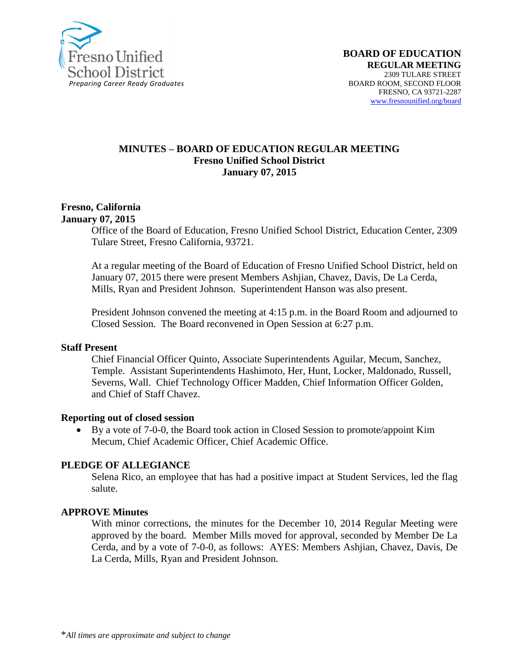

#### **MINUTES – BOARD OF EDUCATION REGULAR MEETING Fresno Unified School District January 07, 2015**

#### **Fresno, California January 07, 2015**

Office of the Board of Education, Fresno Unified School District, Education Center, 2309 Tulare Street, Fresno California, 93721.

At a regular meeting of the Board of Education of Fresno Unified School District, held on January 07, 2015 there were present Members Ashjian, Chavez, Davis, De La Cerda, Mills, Ryan and President Johnson. Superintendent Hanson was also present.

President Johnson convened the meeting at 4:15 p.m. in the Board Room and adjourned to Closed Session. The Board reconvened in Open Session at 6:27 p.m.

#### **Staff Present**

Chief Financial Officer Quinto, Associate Superintendents Aguilar, Mecum, Sanchez, Temple. Assistant Superintendents Hashimoto, Her, Hunt, Locker, Maldonado, Russell, Severns, Wall. Chief Technology Officer Madden, Chief Information Officer Golden, and Chief of Staff Chavez.

#### **Reporting out of closed session**

 By a vote of 7-0-0, the Board took action in Closed Session to promote/appoint Kim Mecum, Chief Academic Officer, Chief Academic Office.

### **PLEDGE OF ALLEGIANCE**

Selena Rico, an employee that has had a positive impact at Student Services, led the flag salute.

#### **APPROVE Minutes**

With minor corrections, the minutes for the December 10, 2014 Regular Meeting were approved by the board. Member Mills moved for approval, seconded by Member De La Cerda, and by a vote of 7-0-0, as follows: AYES: Members Ashjian, Chavez, Davis, De La Cerda, Mills, Ryan and President Johnson.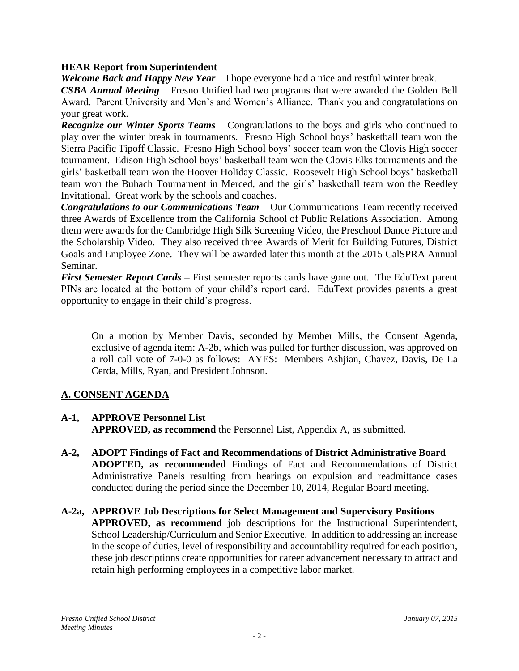## **HEAR Report from Superintendent**

*Welcome Back and Happy New Year* – I hope everyone had a nice and restful winter break.

*CSBA Annual Meeting* – Fresno Unified had two programs that were awarded the Golden Bell Award. Parent University and Men's and Women's Alliance. Thank you and congratulations on your great work.

*Recognize our Winter Sports Teams* – Congratulations to the boys and girls who continued to play over the winter break in tournaments. Fresno High School boys' basketball team won the Sierra Pacific Tipoff Classic. Fresno High School boys' soccer team won the Clovis High soccer tournament. Edison High School boys' basketball team won the Clovis Elks tournaments and the girls' basketball team won the Hoover Holiday Classic. Roosevelt High School boys' basketball team won the Buhach Tournament in Merced, and the girls' basketball team won the Reedley Invitational. Great work by the schools and coaches.

*Congratulations to our Communications Team* – Our Communications Team recently received three Awards of Excellence from the California School of Public Relations Association. Among them were awards for the Cambridge High Silk Screening Video, the Preschool Dance Picture and the Scholarship Video. They also received three Awards of Merit for Building Futures, District Goals and Employee Zone. They will be awarded later this month at the 2015 CalSPRA Annual Seminar.

*First Semester Report Cards* **–** First semester reports cards have gone out. The EduText parent PINs are located at the bottom of your child's report card. EduText provides parents a great opportunity to engage in their child's progress.

On a motion by Member Davis, seconded by Member Mills, the Consent Agenda, exclusive of agenda item: A-2b, which was pulled for further discussion, was approved on a roll call vote of 7-0-0 as follows: AYES: Members Ashjian, Chavez, Davis, De La Cerda, Mills, Ryan, and President Johnson.

# **A. CONSENT AGENDA**

- **A-1, APPROVE Personnel List APPROVED, as recommend** the Personnel List, Appendix A, as submitted.
- **A-2, ADOPT Findings of Fact and Recommendations of District Administrative Board ADOPTED, as recommended** Findings of Fact and Recommendations of District Administrative Panels resulting from hearings on expulsion and readmittance cases conducted during the period since the December 10, 2014, Regular Board meeting.
- **A-2a, APPROVE Job Descriptions for Select Management and Supervisory Positions APPROVED, as recommend** job descriptions for the Instructional Superintendent, School Leadership/Curriculum and Senior Executive. In addition to addressing an increase in the scope of duties, level of responsibility and accountability required for each position, these job descriptions create opportunities for career advancement necessary to attract and retain high performing employees in a competitive labor market.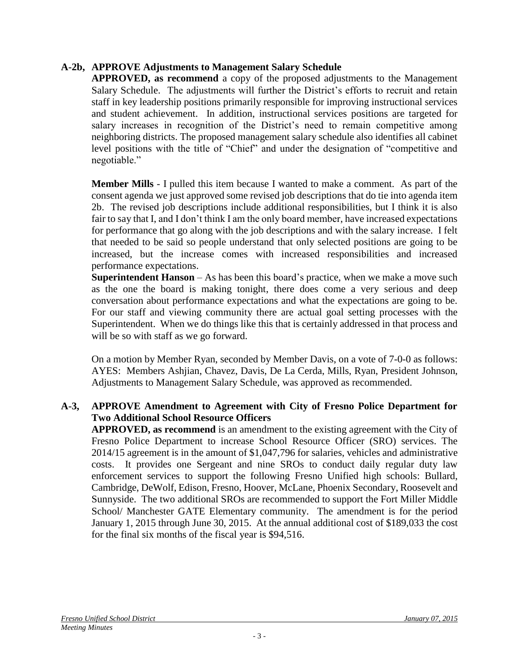## **A-2b, APPROVE Adjustments to Management Salary Schedule**

**APPROVED, as recommend** a copy of the proposed adjustments to the Management Salary Schedule. The adjustments will further the District's efforts to recruit and retain staff in key leadership positions primarily responsible for improving instructional services and student achievement. In addition, instructional services positions are targeted for salary increases in recognition of the District's need to remain competitive among neighboring districts. The proposed management salary schedule also identifies all cabinet level positions with the title of "Chief" and under the designation of "competitive and negotiable."

**Member Mills** - I pulled this item because I wanted to make a comment. As part of the consent agenda we just approved some revised job descriptions that do tie into agenda item 2b. The revised job descriptions include additional responsibilities, but I think it is also fair to say that I, and I don't think I am the only board member, have increased expectations for performance that go along with the job descriptions and with the salary increase. I felt that needed to be said so people understand that only selected positions are going to be increased, but the increase comes with increased responsibilities and increased performance expectations.

**Superintendent Hanson** – As has been this board's practice, when we make a move such as the one the board is making tonight, there does come a very serious and deep conversation about performance expectations and what the expectations are going to be. For our staff and viewing community there are actual goal setting processes with the Superintendent. When we do things like this that is certainly addressed in that process and will be so with staff as we go forward.

On a motion by Member Ryan, seconded by Member Davis, on a vote of 7-0-0 as follows: AYES: Members Ashjian, Chavez, Davis, De La Cerda, Mills, Ryan, President Johnson, Adjustments to Management Salary Schedule, was approved as recommended.

## **A-3, APPROVE Amendment to Agreement with City of Fresno Police Department for Two Additional School Resource Officers**

**APPROVED, as recommend** is an amendment to the existing agreement with the City of Fresno Police Department to increase School Resource Officer (SRO) services. The 2014/15 agreement is in the amount of \$1,047,796 for salaries, vehicles and administrative costs. It provides one Sergeant and nine SROs to conduct daily regular duty law enforcement services to support the following Fresno Unified high schools: Bullard, Cambridge, DeWolf, Edison, Fresno, Hoover, McLane, Phoenix Secondary, Roosevelt and Sunnyside. The two additional SROs are recommended to support the Fort Miller Middle School/ Manchester GATE Elementary community. The amendment is for the period January 1, 2015 through June 30, 2015. At the annual additional cost of \$189,033 the cost for the final six months of the fiscal year is \$94,516.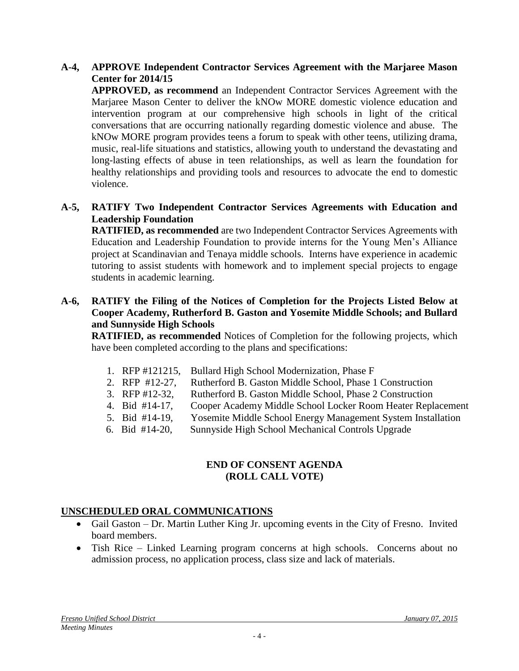## **A-4, APPROVE Independent Contractor Services Agreement with the Marjaree Mason Center for 2014/15**

**APPROVED, as recommend** an Independent Contractor Services Agreement with the Marjaree Mason Center to deliver the kNOw MORE domestic violence education and intervention program at our comprehensive high schools in light of the critical conversations that are occurring nationally regarding domestic violence and abuse. The kNOw MORE program provides teens a forum to speak with other teens, utilizing drama, music, real-life situations and statistics, allowing youth to understand the devastating and long-lasting effects of abuse in teen relationships, as well as learn the foundation for healthy relationships and providing tools and resources to advocate the end to domestic violence.

### **A-5, RATIFY Two Independent Contractor Services Agreements with Education and Leadership Foundation**

**RATIFIED, as recommended** are two Independent Contractor Services Agreements with Education and Leadership Foundation to provide interns for the Young Men's Alliance project at Scandinavian and Tenaya middle schools. Interns have experience in academic tutoring to assist students with homework and to implement special projects to engage students in academic learning.

### **A-6, RATIFY the Filing of the Notices of Completion for the Projects Listed Below at Cooper Academy, Rutherford B. Gaston and Yosemite Middle Schools; and Bullard and Sunnyside High Schools**

**RATIFIED, as recommended** Notices of Completion for the following projects, which have been completed according to the plans and specifications:

- 1. RFP #121215, Bullard High School Modernization, Phase F
- 2. RFP #12-27, Rutherford B. Gaston Middle School, Phase 1 Construction
- 3. RFP #12-32, Rutherford B. Gaston Middle School, Phase 2 Construction
- 4. Bid #14-17, Cooper Academy Middle School Locker Room Heater Replacement
- 5. Bid #14-19, Yosemite Middle School Energy Management System Installation
- 6. Bid #14-20, Sunnyside High School Mechanical Controls Upgrade

## **END OF CONSENT AGENDA (ROLL CALL VOTE)**

## **UNSCHEDULED ORAL COMMUNICATIONS**

- Gail Gaston Dr. Martin Luther King Jr. upcoming events in the City of Fresno. Invited board members.
- Tish Rice Linked Learning program concerns at high schools. Concerns about no admission process, no application process, class size and lack of materials.